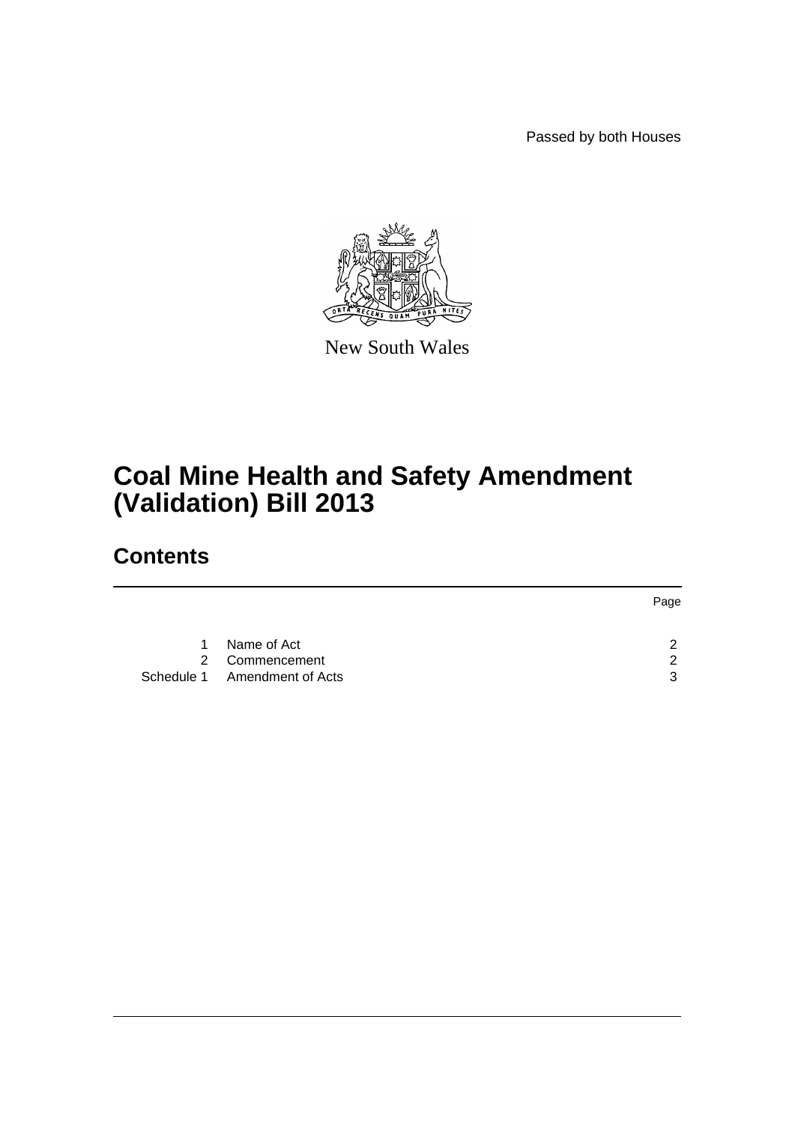Passed by both Houses



New South Wales

## **Coal Mine Health and Safety Amendment (Validation) Bill 2013**

## **Contents**

|             |                              | Page |
|-------------|------------------------------|------|
|             |                              |      |
| $\mathbf 1$ | Name of Act                  | ົ    |
|             | 2 Commencement               | ົ    |
|             | Schedule 1 Amendment of Acts | ્ર   |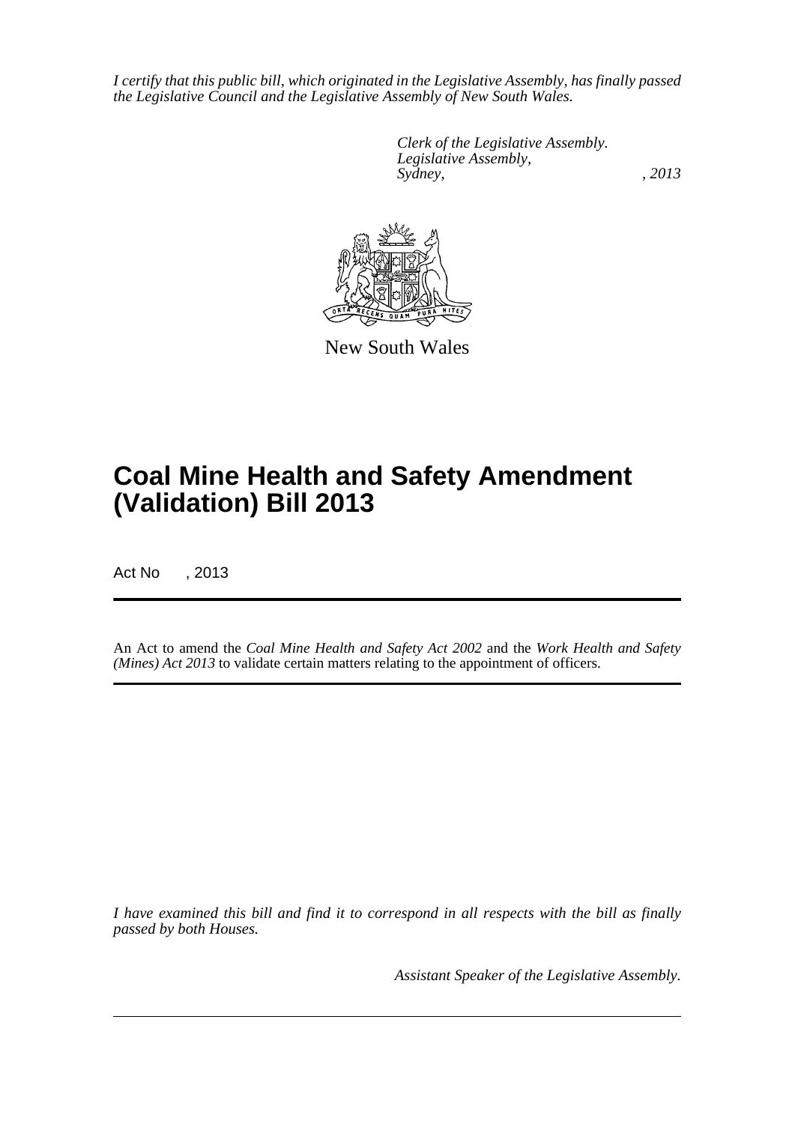*I certify that this public bill, which originated in the Legislative Assembly, has finally passed the Legislative Council and the Legislative Assembly of New South Wales.*

> *Clerk of the Legislative Assembly. Legislative Assembly, Sydney, , 2013*



New South Wales

# **Coal Mine Health and Safety Amendment (Validation) Bill 2013**

Act No , 2013

An Act to amend the *Coal Mine Health and Safety Act 2002* and the *Work Health and Safety (Mines) Act 2013* to validate certain matters relating to the appointment of officers.

*I have examined this bill and find it to correspond in all respects with the bill as finally passed by both Houses.*

*Assistant Speaker of the Legislative Assembly.*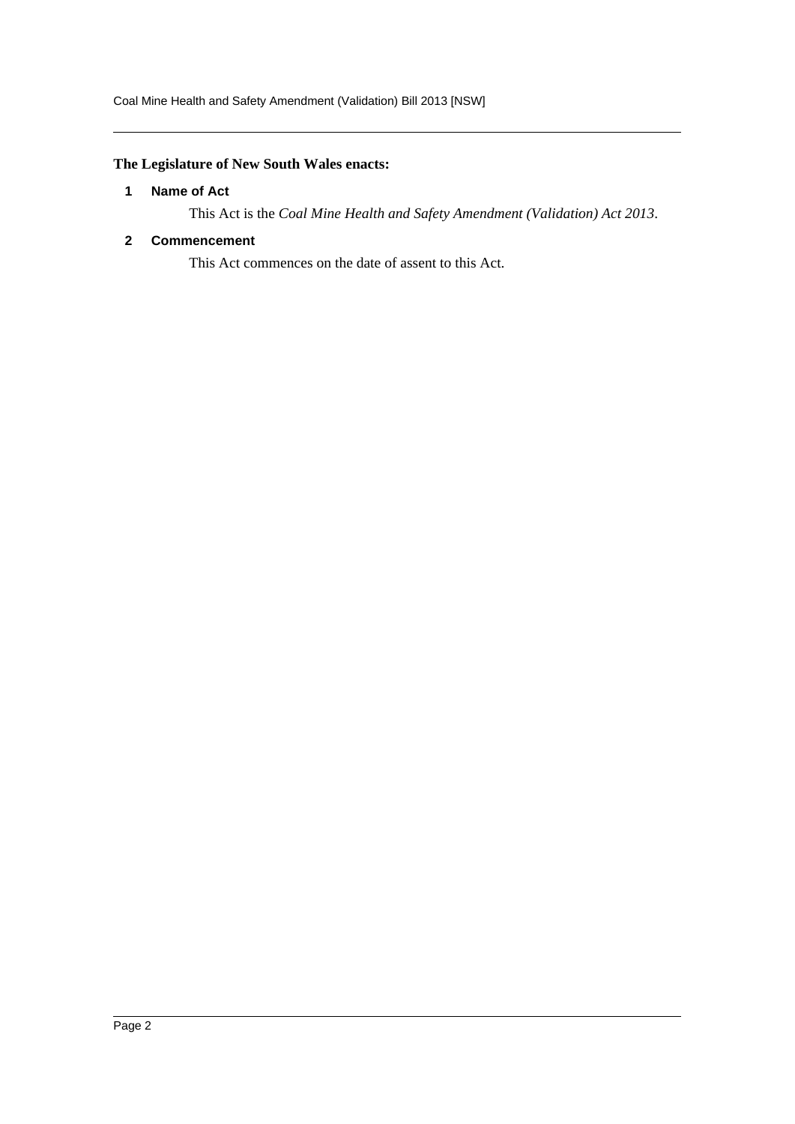## <span id="page-2-0"></span>**The Legislature of New South Wales enacts:**

### **1 Name of Act**

This Act is the *Coal Mine Health and Safety Amendment (Validation) Act 2013*.

## <span id="page-2-1"></span>**2 Commencement**

This Act commences on the date of assent to this Act.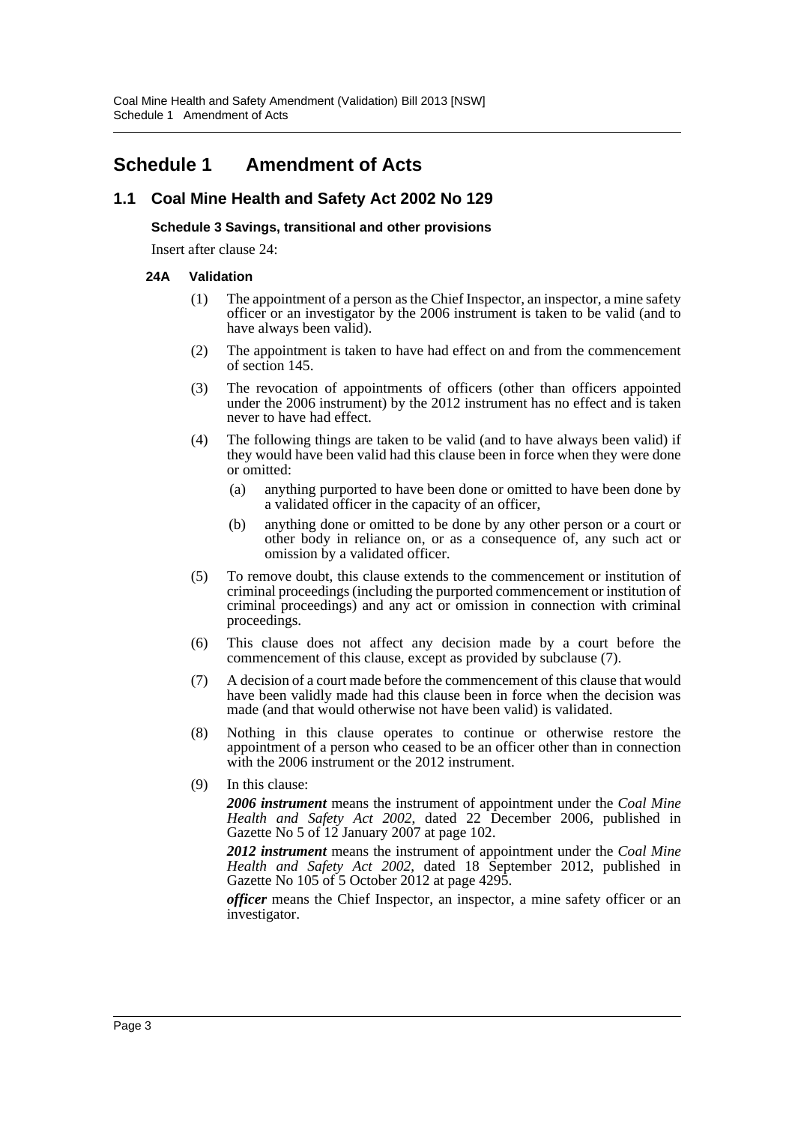## <span id="page-3-0"></span>**Schedule 1 Amendment of Acts**

## **1.1 Coal Mine Health and Safety Act 2002 No 129**

### **Schedule 3 Savings, transitional and other provisions**

Insert after clause 24:

### **24A Validation**

- (1) The appointment of a person as the Chief Inspector, an inspector, a mine safety officer or an investigator by the 2006 instrument is taken to be valid (and to have always been valid).
- (2) The appointment is taken to have had effect on and from the commencement of section 145.
- (3) The revocation of appointments of officers (other than officers appointed under the 2006 instrument) by the 2012 instrument has no effect and is taken never to have had effect.
- (4) The following things are taken to be valid (and to have always been valid) if they would have been valid had this clause been in force when they were done or omitted:
	- (a) anything purported to have been done or omitted to have been done by a validated officer in the capacity of an officer,
	- (b) anything done or omitted to be done by any other person or a court or other body in reliance on, or as a consequence of, any such act or omission by a validated officer.
- (5) To remove doubt, this clause extends to the commencement or institution of criminal proceedings (including the purported commencement or institution of criminal proceedings) and any act or omission in connection with criminal proceedings.
- (6) This clause does not affect any decision made by a court before the commencement of this clause, except as provided by subclause (7).
- (7) A decision of a court made before the commencement of this clause that would have been validly made had this clause been in force when the decision was made (and that would otherwise not have been valid) is validated.
- (8) Nothing in this clause operates to continue or otherwise restore the appointment of a person who ceased to be an officer other than in connection with the 2006 instrument or the 2012 instrument.
- (9) In this clause:

*2006 instrument* means the instrument of appointment under the *Coal Mine Health and Safety Act 2002*, dated 22 December 2006, published in Gazette No 5 of 12 January 2007 at page 102.

*2012 instrument* means the instrument of appointment under the *Coal Mine Health and Safety Act 2002*, dated 18 September 2012, published in Gazette No 105 of 5 October 2012 at page 4295.

*officer* means the Chief Inspector, an inspector, a mine safety officer or an investigator.